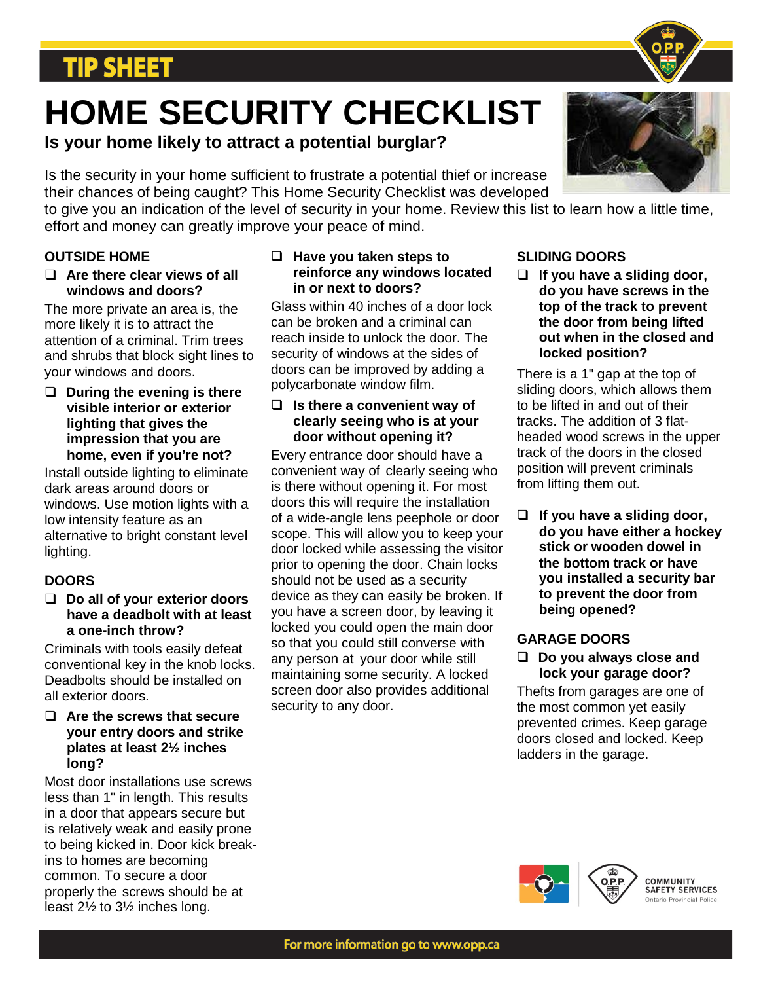# **TIP SHEET**

# **HOME SECURITY CHECKLIST**

**Is your home likely to attract a potential burglar?**

Is the security in your home sufficient to frustrate a potential thief or increase their chances of being caught? This Home Security Checklist was developed

to give you an indication of the level of security in your home. Review this list to learn how a little time, effort and money can greatly improve your peace of mind.

# **OUTSIDE HOME**

 **Are there clear views of all windows and doors?**

The more private an area is, the more likely it is to attract the attention of a criminal. Trim trees and shrubs that block sight lines to your windows and doors.

#### **During the evening is there visible interior or exterior lighting that gives the impression that you are home, even if you're not?**

Install outside lighting to eliminate dark areas around doors or windows. Use motion lights with a low intensity feature as an alternative to bright constant level lighting.

# **DOORS**

#### **Do all of your exterior doors have a deadbolt with at least a one-inch throw?**

Criminals with tools easily defeat conventional key in the knob locks. Deadbolts should be installed on all exterior doors.

# **Are the screws that secure your entry doors and strike plates at least 2½ inches long?**

Most door installations use screws less than 1" in length. This results in a door that appears secure but is relatively weak and easily prone to being kicked in. Door kick breakins to homes are becoming common. To secure a door properly the screws should be at least 2½ to 3½ inches long.

#### **Have you taken steps to reinforce any windows located in or next to doors?**

Glass within 40 inches of a door lock can be broken and a criminal can reach inside to unlock the door. The security of windows at the sides of doors can be improved by adding a polycarbonate window film.

#### **Is there a convenient way of clearly seeing who is at your door without opening it?**

Every entrance door should have a convenient way of clearly seeing who is there without opening it. For most doors this will require the installation of a wide-angle lens peephole or door scope. This will allow you to keep your door locked while assessing the visitor prior to opening the door. Chain locks should not be used as a security device as they can easily be broken. If you have a screen door, by leaving it locked you could open the main door so that you could still converse with any person at your door while still maintaining some security. A locked screen door also provides additional security to any door.

# **SLIDING DOORS**

 I**f you have a sliding door, do you have screws in the top of the track to prevent the door from being lifted out when in the closed and locked position?**

There is a 1" gap at the top of sliding doors, which allows them to be lifted in and out of their tracks. The addition of 3 flatheaded wood screws in the upper track of the doors in the closed position will prevent criminals from lifting them out.

 **If you have a sliding door, do you have either a hockey stick or wooden dowel in the bottom track or have you installed a security bar to prevent the door from being opened?**

# **GARAGE DOORS**

# **Do you always close and lock your garage door?**

Thefts from garages are one of the most common yet easily prevented crimes. Keep garage doors closed and locked. Keep ladders in the garage.